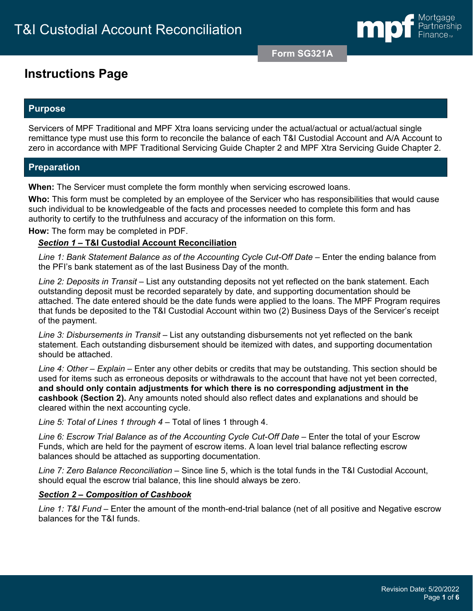

**Form SG321A**

# **Instructions Page**

### **Purpose**

Servicers of MPF Traditional and MPF Xtra loans servicing under the actual/actual or actual/actual single remittance type must use this form to reconcile the balance of each T&I Custodial Account and A/A Account to zero in accordance with MPF Traditional Servicing Guide Chapter 2 and MPF Xtra Servicing Guide Chapter 2.

### **Preparation**

**When:** The Servicer must complete the form monthly when servicing escrowed loans.

**Who:** This form must be completed by an employee of the Servicer who has responsibilities that would cause such individual to be knowledgeable of the facts and processes needed to complete this form and has authority to certify to the truthfulness and accuracy of the information on this form.

**How:** The form may be completed in PDF.

#### *Section 1 –* **T&I Custodial Account Reconciliation**

*Line 1: Bank Statement Balance as of the Accounting Cycle Cut-Off Date –* Enter the ending balance from the PFI's bank statement as of the last Business Day of the month*.*

*Line 2: Deposits in Transit –* List any outstanding deposits not yet reflected on the bank statement. Each outstanding deposit must be recorded separately by date, and supporting documentation should be attached. The date entered should be the date funds were applied to the loans. The MPF Program requires that funds be deposited to the T&I Custodial Account within two (2) Business Days of the Servicer's receipt of the payment.

*Line 3: Disbursements in Transit* – List any outstanding disbursements not yet reflected on the bank statement. Each outstanding disbursement should be itemized with dates, and supporting documentation should be attached.

*Line 4: Other – Explain* – Enter any other debits or credits that may be outstanding. This section should be used for items such as erroneous deposits or withdrawals to the account that have not yet been corrected, **and should only contain adjustments for which there is no corresponding adjustment in the cashbook (Section 2).** Any amounts noted should also reflect dates and explanations and should be cleared within the next accounting cycle.

*Line 5: Total of Lines 1 through 4* – Total of lines 1 through 4.

*Line 6: Escrow Trial Balance as of the Accounting Cycle Cut-Off Date* – Enter the total of your Escrow Funds, which are held for the payment of escrow items. A loan level trial balance reflecting escrow balances should be attached as supporting documentation.

*Line 7: Zero Balance Reconciliation* – Since line 5, which is the total funds in the T&I Custodial Account, should equal the escrow trial balance, this line should always be zero.

### *Section 2 – Composition of Cashbook*

*Line 1: T&I Fund –* Enter the amount of the month-end-trial balance (net of all positive and Negative escrow balances for the T&I funds.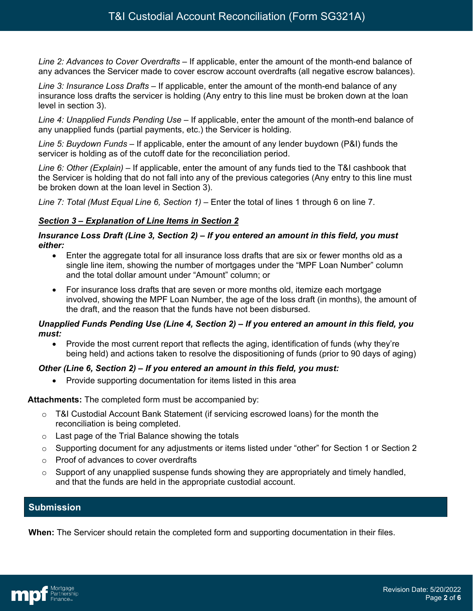*Line 2: Advances to Cover Overdrafts –* If applicable, enter the amount of the month-end balance of any advances the Servicer made to cover escrow account overdrafts (all negative escrow balances).

*Line 3: Insurance Loss Drafts –* If applicable, enter the amount of the month-end balance of any insurance loss drafts the servicer is holding (Any entry to this line must be broken down at the loan level in section 3).

*Line 4: Unapplied Funds Pending Use* – If applicable, enter the amount of the month-end balance of any unapplied funds (partial payments, etc.) the Servicer is holding.

*Line 5: Buydown Funds* – If applicable, enter the amount of any lender buydown (P&I) funds the servicer is holding as of the cutoff date for the reconciliation period.

*Line 6: Other (Explain)* – If applicable, enter the amount of any funds tied to the T&I cashbook that the Servicer is holding that do not fall into any of the previous categories (Any entry to this line must be broken down at the loan level in Section 3).

*Line 7: Total (Must Equal Line 6, Section 1)* – Enter the total of lines 1 through 6 on line 7.

### *Section 3 – Explanation of Line Items in Section 2*

#### *Insurance Loss Draft (Line 3, Section 2) – If you entered an amount in this field, you must either:*

- Enter the aggregate total for all insurance loss drafts that are six or fewer months old as a single line item, showing the number of mortgages under the "MPF Loan Number" column and the total dollar amount under "Amount" column; or
- For insurance loss drafts that are seven or more months old, itemize each mortgage involved, showing the MPF Loan Number, the age of the loss draft (in months), the amount of the draft, and the reason that the funds have not been disbursed.

#### *Unapplied Funds Pending Use (Line 4, Section 2) – If you entered an amount in this field, you must:*

• Provide the most current report that reflects the aging, identification of funds (why they're being held) and actions taken to resolve the dispositioning of funds (prior to 90 days of aging)

### *Other (Line 6, Section 2) – If you entered an amount in this field, you must:*

• Provide supporting documentation for items listed in this area

### **Attachments:** The completed form must be accompanied by:

- $\circ$  T&I Custodial Account Bank Statement (if servicing escrowed loans) for the month the reconciliation is being completed.
- $\circ$  Last page of the Trial Balance showing the totals
- o Supporting document for any adjustments or items listed under "other" for Section 1 or Section 2
- o Proof of advances to cover overdrafts
- $\circ$  Support of any unapplied suspense funds showing they are appropriately and timely handled, and that the funds are held in the appropriate custodial account.

### **Submission**

**When:** The Servicer should retain the completed form and supporting documentation in their files.

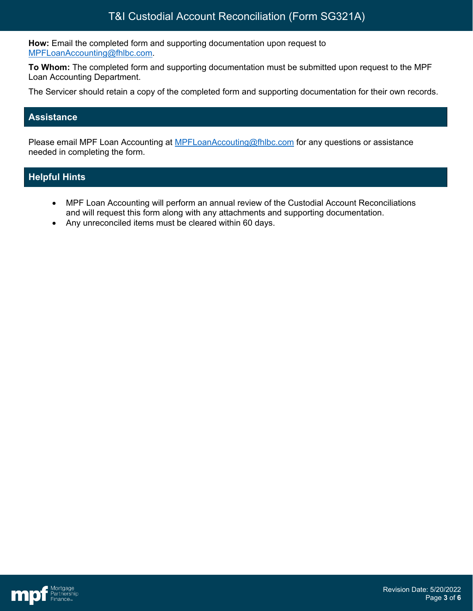**How:** Email the completed form and supporting documentation upon request to [MPFLoanAccounting@fhlbc.com.](mailto:MPFLoanAccounting@fhlbc.com)

**To Whom:** The completed form and supporting documentation must be submitted upon request to the MPF Loan Accounting Department.

The Servicer should retain a copy of the completed form and supporting documentation for their own records.

### **Assistance**

Please email MPF Loan Accounting at **MPFLoanAccouting@fhlbc.com** for any questions or assistance needed in completing the form.

### **Helpful Hints**

- MPF Loan Accounting will perform an annual review of the Custodial Account Reconciliations and will request this form along with any attachments and supporting documentation.
- Any unreconciled items must be cleared within 60 days.

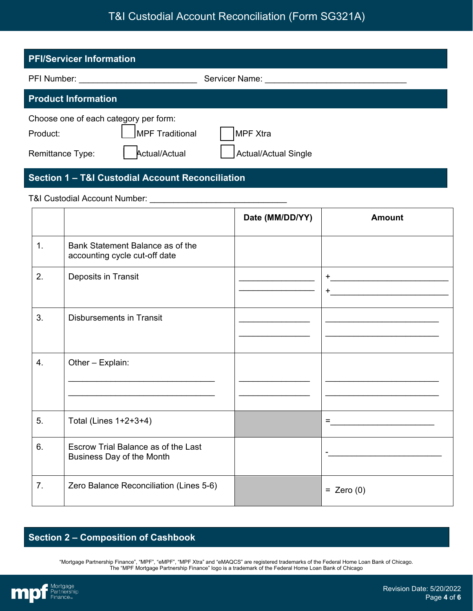# T&I Custodial Account Reconciliation (Form SG321A)

| <b>PFI/Servicer Information</b>                   |                 |                             |  |  |
|---------------------------------------------------|-----------------|-----------------------------|--|--|
| PFI Number:                                       |                 | Servicer Name:              |  |  |
| <b>Product Information</b>                        |                 |                             |  |  |
| Choose one of each category per form:<br>Product: | MPF Traditional | MPF Xtra                    |  |  |
| Remittance Type:                                  | Actual/Actual   | <b>Actual/Actual Single</b> |  |  |

## **Section 1 – T&I Custodial Account Reconciliation**

#### T&I Custodial Account Number: \_\_\_\_\_\_\_\_\_\_\_\_\_\_\_\_\_\_\_\_\_\_\_\_\_\_\_\_\_

|    |                                                                   | Date (MM/DD/YY) | <b>Amount</b> |
|----|-------------------------------------------------------------------|-----------------|---------------|
| 1. | Bank Statement Balance as of the<br>accounting cycle cut-off date |                 |               |
| 2. | Deposits in Transit                                               |                 | $+$<br>$+$    |
| 3. | <b>Disbursements in Transit</b>                                   |                 |               |
| 4. | Other - Explain:                                                  |                 |               |
| 5. | Total (Lines 1+2+3+4)                                             |                 | $=$           |
| 6. | Escrow Trial Balance as of the Last<br>Business Day of the Month  |                 |               |
| 7. | Zero Balance Reconciliation (Lines 5-6)                           |                 | $=$ Zero (0)  |

# **Section 2 – Composition of Cashbook**

"Mortgage Partnership Finance", "MPF", "eMPF", "MPF Xtra" and "eMAQCS" are registered trademarks of the Federal Home Loan Bank of Chicago. The "MPF Mortgage Partnership Finance" logo is a trademark of the Federal Home Loan Bank of Chicago

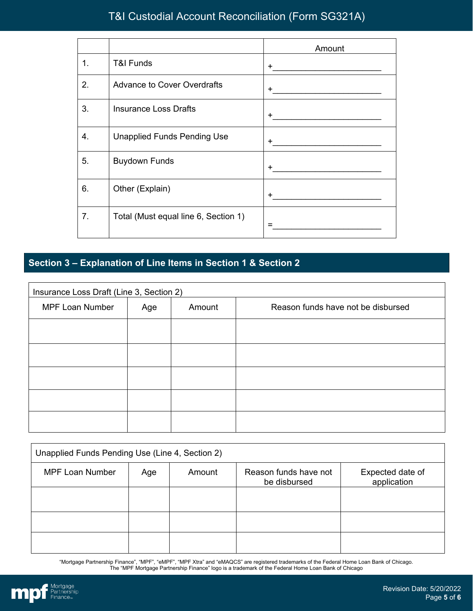# T&I Custodial Account Reconciliation (Form SG321A)

|    |                                      | Amount                                                           |
|----|--------------------------------------|------------------------------------------------------------------|
| 1. | <b>T&amp;I Funds</b>                 | $+$                                                              |
| 2. | <b>Advance to Cover Overdrafts</b>   | $+$ $-$<br><u> 1989 - Andrea Stadt Britain, fransk politik (</u> |
| 3. | <b>Insurance Loss Drafts</b>         | $+$                                                              |
| 4. | <b>Unapplied Funds Pending Use</b>   | $+$                                                              |
| 5. | <b>Buydown Funds</b>                 | $+$                                                              |
| 6. | Other (Explain)                      | $\pm$                                                            |
| 7. | Total (Must equal line 6, Section 1) |                                                                  |

## **Section 3 – Explanation of Line Items in Section 1 & Section 2**

| Insurance Loss Draft (Line 3, Section 2) |     |        |                                    |
|------------------------------------------|-----|--------|------------------------------------|
| <b>MPF Loan Number</b>                   | Age | Amount | Reason funds have not be disbursed |
|                                          |     |        |                                    |
|                                          |     |        |                                    |
|                                          |     |        |                                    |
|                                          |     |        |                                    |
|                                          |     |        |                                    |

| Unapplied Funds Pending Use (Line 4, Section 2) |     |        |                                       |                                 |
|-------------------------------------------------|-----|--------|---------------------------------------|---------------------------------|
| <b>MPF Loan Number</b>                          | Age | Amount | Reason funds have not<br>be disbursed | Expected date of<br>application |
|                                                 |     |        |                                       |                                 |
|                                                 |     |        |                                       |                                 |
|                                                 |     |        |                                       |                                 |

"Mortgage Partnership Finance", "MPF", "eMPF", "MPF Xtra" and "eMAQCS" are registered trademarks of the Federal Home Loan Bank of Chicago. The "MPF Mortgage Partnership Finance" logo is a trademark of the Federal Home Loan Bank of Chicago